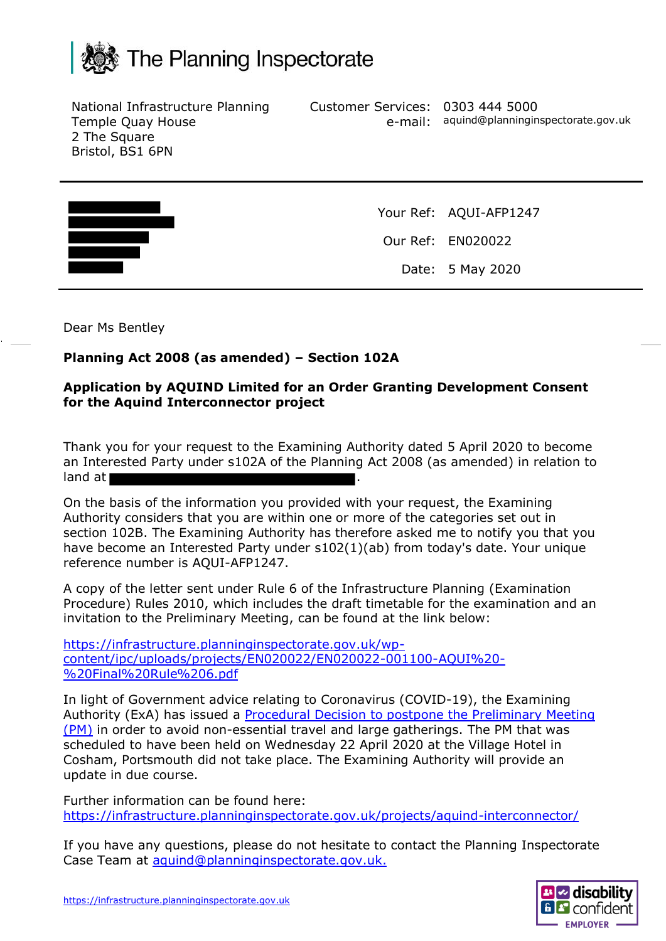

National Infrastructure Planning Temple Quay House 2 The Square Bristol, BS1 6PN

Customer Services: 0303 444 5000 e-mail: aquind@planninginspectorate.gov.uk



Your Ref: AQUI-AFP1247 Our Ref: EN020022 Date: 5 May 2020

Dear Ms Bentley

## **Planning Act 2008 (as amended) – Section 102A**

## **Application by AQUIND Limited for an Order Granting Development Consent for the Aquind Interconnector project**

Thank you for your request to the Examining Authority dated 5 April 2020 to become an Interested Party under s102A of the Planning Act 2008 (as amended) in relation to land at  $\vert$ 

On the basis of the information you provided with your request, the Examining Authority considers that you are within one or more of the categories set out in section 102B. The Examining Authority has therefore asked me to notify you that you have become an Interested Party under s102(1)(ab) from today's date. Your unique reference number is AQUI-AFP1247.

A copy of the letter sent under Rule 6 of the Infrastructure Planning (Examination Procedure) Rules 2010, which includes the draft timetable for the examination and an invitation to the Preliminary Meeting, can be found at the link below:

[https://infrastructure.planninginspectorate.gov.uk/wp](https://infrastructure.planninginspectorate.gov.uk/wp-content/ipc/uploads/projects/EN020022/EN020022-001100-AQUI%20-%20Final%20Rule%206.pdf)[content/ipc/uploads/projects/EN020022/EN020022-001100-AQUI%20-](https://infrastructure.planninginspectorate.gov.uk/wp-content/ipc/uploads/projects/EN020022/EN020022-001100-AQUI%20-%20Final%20Rule%206.pdf) [%20Final%20Rule%206.pdf](https://infrastructure.planninginspectorate.gov.uk/wp-content/ipc/uploads/projects/EN020022/EN020022-001100-AQUI%20-%20Final%20Rule%206.pdf)

In light of Government advice relating to Coronavirus (COVID-19), the Examining Authority (ExA) has issued a [Procedural Decision to postpone the Preliminary Meeting](https://infrastructure.planninginspectorate.gov.uk/wp-content/ipc/uploads/projects/EN020022/EN020022-001109-20200326%20EN020022%20AQUIND%20-%20PM%20Postponement%20Letter.pdf) (PM) in order to avoid non-essential travel and large gatherings. The PM that was scheduled to have been held on Wednesday 22 April 2020 at the Village Hotel in Cosham, Portsmouth did not take place. The Examining Authority will provide an update in due course.

Further information can be found here: <https://infrastructure.planninginspectorate.gov.uk/projects/aquind-interconnector/>

If you have any questions, please do not hesitate to contact the Planning Inspectorate Case Team at [aquind@planninginspectorate.gov.uk.](mailto:aquind@planninginspectorate.gov.uk)